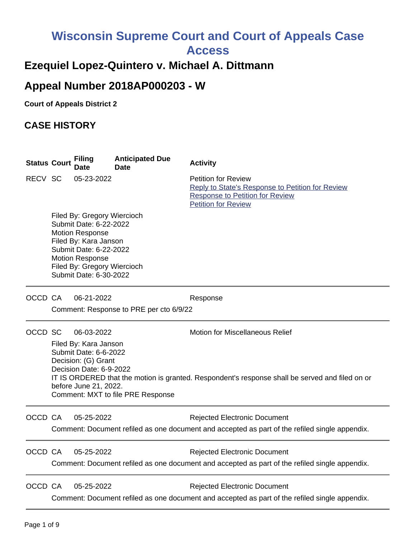# **Wisconsin Supreme Court and Court of Appeals Case**

**Access**

# **Ezequiel Lopez-Quintero v. Michael A. Dittmann**

# **Appeal Number 2018AP000203 - W**

**Court of Appeals District 2**

# **CASE HISTORY**

| <b>Status Court</b> | <b>Filing</b><br>Date                                                                                                                                                                                                 | <b>Anticipated Due</b><br><b>Date</b>   | <b>Activity</b>                                                                                                                                        |
|---------------------|-----------------------------------------------------------------------------------------------------------------------------------------------------------------------------------------------------------------------|-----------------------------------------|--------------------------------------------------------------------------------------------------------------------------------------------------------|
| RECV SC             | 05-23-2022                                                                                                                                                                                                            |                                         | <b>Petition for Review</b><br>Reply to State's Response to Petition for Review<br><b>Response to Petition for Review</b><br><b>Petition for Review</b> |
|                     | Filed By: Gregory Wiercioch<br>Submit Date: 6-22-2022<br><b>Motion Response</b><br>Filed By: Kara Janson<br>Submit Date: 6-22-2022<br><b>Motion Response</b><br>Filed By: Gregory Wiercioch<br>Submit Date: 6-30-2022 |                                         |                                                                                                                                                        |
| OCCD CA             | 06-21-2022                                                                                                                                                                                                            | Comment: Response to PRE per cto 6/9/22 | Response                                                                                                                                               |
| OCCD SC             | 06-03-2022                                                                                                                                                                                                            |                                         | <b>Motion for Miscellaneous Relief</b>                                                                                                                 |
|                     | Filed By: Kara Janson<br>Submit Date: 6-6-2022<br>Decision: (G) Grant<br>Decision Date: 6-9-2022<br>before June 21, 2022.                                                                                             | Comment: MXT to file PRE Response       | IT IS ORDERED that the motion is granted. Respondent's response shall be served and filed on or                                                        |
| OCCD CA             | 05-25-2022                                                                                                                                                                                                            |                                         | <b>Rejected Electronic Document</b><br>Comment: Document refiled as one document and accepted as part of the refiled single appendix.                  |
| OCCD CA             | 05-25-2022                                                                                                                                                                                                            |                                         | <b>Rejected Electronic Document</b><br>Comment: Document refiled as one document and accepted as part of the refiled single appendix.                  |
| OCCD CA             | 05-25-2022                                                                                                                                                                                                            |                                         | <b>Rejected Electronic Document</b><br>Comment: Document refiled as one document and accepted as part of the refiled single appendix.                  |
|                     |                                                                                                                                                                                                                       |                                         |                                                                                                                                                        |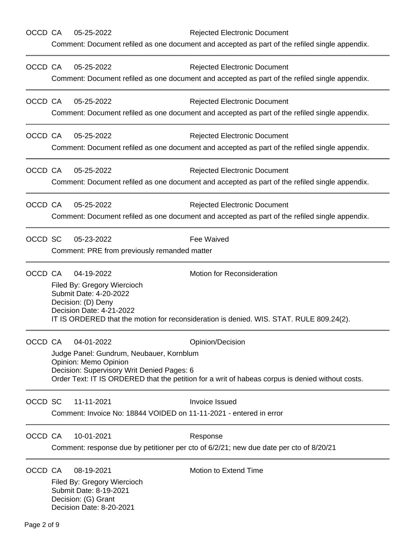| OCCD CA |                                                                     | 05-25-2022                                                                                                          | <b>Rejected Electronic Document</b>                                                              |  |  |  |
|---------|---------------------------------------------------------------------|---------------------------------------------------------------------------------------------------------------------|--------------------------------------------------------------------------------------------------|--|--|--|
|         |                                                                     |                                                                                                                     | Comment: Document refiled as one document and accepted as part of the refiled single appendix.   |  |  |  |
| OCCD CA |                                                                     | 05-25-2022                                                                                                          | <b>Rejected Electronic Document</b>                                                              |  |  |  |
|         |                                                                     | Comment: Document refiled as one document and accepted as part of the refiled single appendix.                      |                                                                                                  |  |  |  |
| OCCD CA |                                                                     | 05-25-2022                                                                                                          | <b>Rejected Electronic Document</b>                                                              |  |  |  |
|         |                                                                     | Comment: Document refiled as one document and accepted as part of the refiled single appendix.                      |                                                                                                  |  |  |  |
| OCCD CA |                                                                     | 05-25-2022                                                                                                          | <b>Rejected Electronic Document</b>                                                              |  |  |  |
|         |                                                                     |                                                                                                                     | Comment: Document refiled as one document and accepted as part of the refiled single appendix.   |  |  |  |
| OCCD CA |                                                                     | 05-25-2022                                                                                                          | <b>Rejected Electronic Document</b>                                                              |  |  |  |
|         |                                                                     | Comment: Document refiled as one document and accepted as part of the refiled single appendix.                      |                                                                                                  |  |  |  |
| OCCD CA |                                                                     | 05-25-2022                                                                                                          | <b>Rejected Electronic Document</b>                                                              |  |  |  |
|         |                                                                     | Comment: Document refiled as one document and accepted as part of the refiled single appendix.                      |                                                                                                  |  |  |  |
| OCCD SC |                                                                     | 05-23-2022                                                                                                          | Fee Waived                                                                                       |  |  |  |
|         |                                                                     | Comment: PRE from previously remanded matter                                                                        |                                                                                                  |  |  |  |
| OCCD CA |                                                                     | 04-19-2022                                                                                                          | <b>Motion for Reconsideration</b>                                                                |  |  |  |
|         |                                                                     | Filed By: Gregory Wiercioch<br>Submit Date: 4-20-2022                                                               |                                                                                                  |  |  |  |
|         | Decision: (D) Deny                                                  |                                                                                                                     |                                                                                                  |  |  |  |
|         |                                                                     | Decision Date: 4-21-2022<br>IT IS ORDERED that the motion for reconsideration is denied. WIS. STAT. RULE 809.24(2). |                                                                                                  |  |  |  |
| OCCD CA |                                                                     | 04-01-2022                                                                                                          | Opinion/Decision                                                                                 |  |  |  |
|         |                                                                     | Judge Panel: Gundrum, Neubauer, Kornblum                                                                            |                                                                                                  |  |  |  |
|         | Opinion: Memo Opinion<br>Decision: Supervisory Writ Denied Pages: 6 |                                                                                                                     |                                                                                                  |  |  |  |
|         |                                                                     |                                                                                                                     | Order Text: IT IS ORDERED that the petition for a writ of habeas corpus is denied without costs. |  |  |  |
| OCCD SC |                                                                     | 11-11-2021                                                                                                          | Invoice Issued                                                                                   |  |  |  |
|         |                                                                     | Comment: Invoice No: 18844 VOIDED on 11-11-2021 - entered in error                                                  |                                                                                                  |  |  |  |
| OCCD CA |                                                                     | 10-01-2021                                                                                                          | Response                                                                                         |  |  |  |
|         |                                                                     |                                                                                                                     | Comment: response due by petitioner per cto of 6/2/21; new due date per cto of 8/20/21           |  |  |  |
| OCCD CA |                                                                     | 08-19-2021                                                                                                          | <b>Motion to Extend Time</b>                                                                     |  |  |  |
|         |                                                                     | Filed By: Gregory Wiercioch<br>Submit Date: 8-19-2021                                                               |                                                                                                  |  |  |  |
|         |                                                                     | Decision: (G) Grant                                                                                                 |                                                                                                  |  |  |  |
|         |                                                                     | Decision Date: 8-20-2021                                                                                            |                                                                                                  |  |  |  |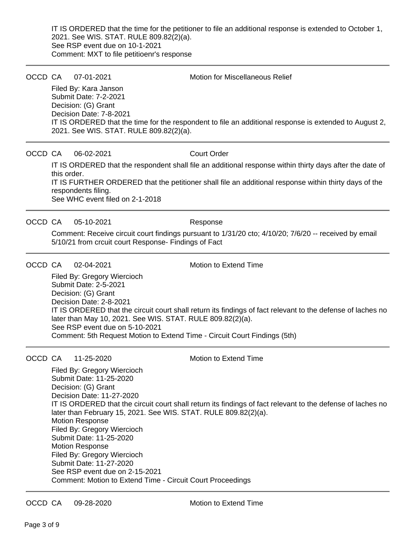IT IS ORDERED that the time for the petitioner to file an additional response is extended to October 1, 2021. See WIS. STAT. RULE 809.82(2)(a). See RSP event due on 10-1-2021 Comment: MXT to file petitioenr's response

OCCD CA 07-01-2021 Motion for Miscellaneous Relief

Filed By: Kara Janson Submit Date: 7-2-2021 Decision: (G) Grant Decision Date: 7-8-2021 IT IS ORDERED that the time for the respondent to file an additional response is extended to August 2, 2021. See WIS. STAT. RULE 809.82(2)(a).

# OCCD CA 06-02-2021 Court Order

IT IS ORDERED that the respondent shall file an additional response within thirty days after the date of this order.

IT IS FURTHER ORDERED that the petitioner shall file an additional response within thirty days of the respondents filing.

See WHC event filed on 2-1-2018

# OCCD CA 05-10-2021 Response

Comment: Receive circuit court findings pursuant to 1/31/20 cto; 4/10/20; 7/6/20 -- received by email 5/10/21 from crcuit court Response- Findings of Fact

# OCCD CA 02-04-2021 Motion to Extend Time

Filed By: Gregory Wiercioch Submit Date: 2-5-2021 Decision: (G) Grant Decision Date: 2-8-2021 IT IS ORDERED that the circuit court shall return its findings of fact relevant to the defense of laches no later than May 10, 2021. See WIS. STAT. RULE 809.82(2)(a). See RSP event due on 5-10-2021 Comment: 5th Request Motion to Extend Time - Circuit Court Findings (5th)

# OCCD CA 11-25-2020 Motion to Extend Time

Filed By: Gregory Wiercioch Submit Date: 11-25-2020 Decision: (G) Grant Decision Date: 11-27-2020 IT IS ORDERED that the circuit court shall return its findings of fact relevant to the defense of laches no later than February 15, 2021. See WIS. STAT. RULE 809.82(2)(a). Motion Response Filed By: Gregory Wiercioch Submit Date: 11-25-2020 Motion Response Filed By: Gregory Wiercioch Submit Date: 11-27-2020 See RSP event due on 2-15-2021 Comment: Motion to Extend Time - Circuit Court Proceedings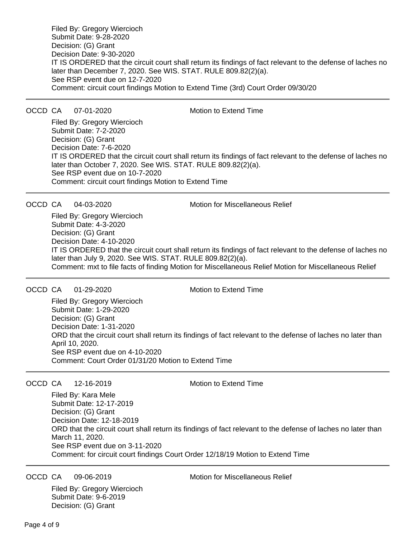Filed By: Gregory Wiercioch Submit Date: 9-28-2020 Decision: (G) Grant Decision Date: 9-30-2020 IT IS ORDERED that the circuit court shall return its findings of fact relevant to the defense of laches no later than December 7, 2020. See WIS. STAT. RULE 809.82(2)(a). See RSP event due on 12-7-2020 Comment: circuit court findings Motion to Extend Time (3rd) Court Order 09/30/20

OCCD CA 07-01-2020 Motion to Extend Time

Filed By: Gregory Wiercioch Submit Date: 7-2-2020 Decision: (G) Grant Decision Date: 7-6-2020 IT IS ORDERED that the circuit court shall return its findings of fact relevant to the defense of laches no later than October 7, 2020. See WIS. STAT. RULE 809.82(2)(a). See RSP event due on 10-7-2020 Comment: circuit court findings Motion to Extend Time

OCCD CA 04-03-2020 Motion for Miscellaneous Relief

Filed By: Gregory Wiercioch Submit Date: 4-3-2020 Decision: (G) Grant Decision Date: 4-10-2020 IT IS ORDERED that the circuit court shall return its findings of fact relevant to the defense of laches no later than July 9, 2020. See WIS. STAT. RULE 809.82(2)(a). Comment: mxt to file facts of finding Motion for Miscellaneous Relief Motion for Miscellaneous Relief

OCCD CA 01-29-2020 Motion to Extend Time

Filed By: Gregory Wiercioch Submit Date: 1-29-2020 Decision: (G) Grant Decision Date: 1-31-2020 ORD that the circuit court shall return its findings of fact relevant to the defense of laches no later than April 10, 2020. See RSP event due on 4-10-2020 Comment: Court Order 01/31/20 Motion to Extend Time

### OCCD CA 12-16-2019 Motion to Extend Time

Filed By: Kara Mele Submit Date: 12-17-2019 Decision: (G) Grant Decision Date: 12-18-2019 ORD that the circuit court shall return its findings of fact relevant to the defense of laches no later than March 11, 2020. See RSP event due on 3-11-2020 Comment: for circuit court findings Court Order 12/18/19 Motion to Extend Time

Filed By: Gregory Wiercioch Submit Date: 9-6-2019 Decision: (G) Grant

OCCD CA 09-06-2019 Motion for Miscellaneous Relief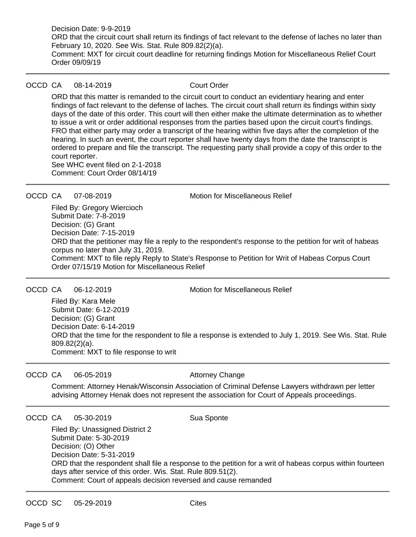Decision Date: 9-9-2019 ORD that the circuit court shall return its findings of fact relevant to the defense of laches no later than February 10, 2020. See Wis. Stat. Rule 809.82(2)(a). Comment: MXT for circuit court deadline for returning findings Motion for Miscellaneous Relief Court Order 09/09/19

### OCCD CA 08-14-2019 Court Order

ORD that this matter is remanded to the circuit court to conduct an evidentiary hearing and enter findings of fact relevant to the defense of laches. The circuit court shall return its findings within sixty days of the date of this order. This court will then either make the ultimate determination as to whether to issue a writ or order additional responses from the parties based upon the circuit court's findings. FRO that either party may order a transcript of the hearing within five days after the completion of the hearing. In such an event, the court reporter shall have twenty days from the date the transcript is ordered to prepare and file the transcript. The requesting party shall provide a copy of this order to the court reporter.

See WHC event filed on 2-1-2018 Comment: Court Order 08/14/19

OCCD CA 07-08-2019 Motion for Miscellaneous Relief

Filed By: Gregory Wiercioch Submit Date: 7-8-2019 Decision: (G) Grant Decision Date: 7-15-2019 ORD that the petitioner may file a reply to the respondent's response to the petition for writ of habeas corpus no later than July 31, 2019. Comment: MXT to file reply Reply to State's Response to Petition for Writ of Habeas Corpus Court Order 07/15/19 Motion for Miscellaneous Relief

OCCD CA 06-12-2019 Motion for Miscellaneous Relief

Filed By: Kara Mele Submit Date: 6-12-2019 Decision: (G) Grant Decision Date: 6-14-2019 ORD that the time for the respondent to file a response is extended to July 1, 2019. See Wis. Stat. Rule 809.82(2)(a). Comment: MXT to file response to writ

OCCD CA 06-05-2019 Attorney Change

Comment: Attorney Henak/Wisconsin Association of Criminal Defense Lawyers withdrawn per letter advising Attorney Henak does not represent the association for Court of Appeals proceedings.

### OCCD CA 05-30-2019 Sua Sponte

Filed By: Unassigned District 2 Submit Date: 5-30-2019 Decision: (O) Other Decision Date: 5-31-2019 ORD that the respondent shall file a response to the petition for a writ of habeas corpus within fourteen days after service of this order. Wis. Stat. Rule 809.51(2). Comment: Court of appeals decision reversed and cause remanded

OCCD SC 05-29-2019 Cites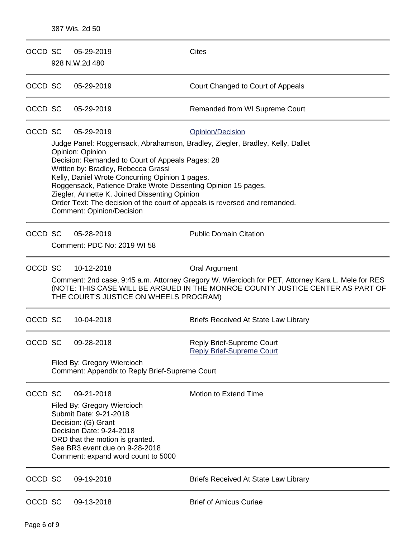| OCCD SC |                                                                                                                                                                                                                                                              | 05-29-2019<br>928 N.W.2d 480                                                                                                                                                                                                                                                                                                                                                 | <b>Cites</b>                                                                                      |
|---------|--------------------------------------------------------------------------------------------------------------------------------------------------------------------------------------------------------------------------------------------------------------|------------------------------------------------------------------------------------------------------------------------------------------------------------------------------------------------------------------------------------------------------------------------------------------------------------------------------------------------------------------------------|---------------------------------------------------------------------------------------------------|
| OCCD SC |                                                                                                                                                                                                                                                              | 05-29-2019                                                                                                                                                                                                                                                                                                                                                                   | Court Changed to Court of Appeals                                                                 |
| OCCD SC |                                                                                                                                                                                                                                                              | 05-29-2019                                                                                                                                                                                                                                                                                                                                                                   | Remanded from WI Supreme Court                                                                    |
| OCCD SC |                                                                                                                                                                                                                                                              | 05-29-2019<br>Opinion: Opinion<br>Decision: Remanded to Court of Appeals Pages: 28<br>Written by: Bradley, Rebecca Grassl<br>Kelly, Daniel Wrote Concurring Opinion 1 pages.<br>Roggensack, Patience Drake Wrote Dissenting Opinion 15 pages.<br>Ziegler, Annette K. Joined Dissenting Opinion<br>Order Text: The decision of the court of appeals is reversed and remanded. | Opinion/Decision<br>Judge Panel: Roggensack, Abrahamson, Bradley, Ziegler, Bradley, Kelly, Dallet |
| OCCD SC |                                                                                                                                                                                                                                                              | <b>Comment: Opinion/Decision</b><br>05-28-2019<br>Comment: PDC No: 2019 WI 58                                                                                                                                                                                                                                                                                                | <b>Public Domain Citation</b>                                                                     |
| OCCD SC | 10-12-2018<br>Oral Argument<br>Comment: 2nd case, 9:45 a.m. Attorney Gregory W. Wiercioch for PET, Attorney Kara L. Mele for RES<br>(NOTE: THIS CASE WILL BE ARGUED IN THE MONROE COUNTY JUSTICE CENTER AS PART OF<br>THE COURT'S JUSTICE ON WHEELS PROGRAM) |                                                                                                                                                                                                                                                                                                                                                                              |                                                                                                   |
| OCCD SC |                                                                                                                                                                                                                                                              | 10-04-2018                                                                                                                                                                                                                                                                                                                                                                   | <b>Briefs Received At State Law Library</b>                                                       |
| OCCD SC |                                                                                                                                                                                                                                                              | 09-28-2018<br>Filed By: Gregory Wiercioch<br>Comment: Appendix to Reply Brief-Supreme Court                                                                                                                                                                                                                                                                                  | <b>Reply Brief-Supreme Court</b><br><b>Reply Brief-Supreme Court</b>                              |
| OCCD SC |                                                                                                                                                                                                                                                              | 09-21-2018<br>Filed By: Gregory Wiercioch<br>Submit Date: 9-21-2018<br>Decision: (G) Grant<br>Decision Date: 9-24-2018<br>ORD that the motion is granted.<br>See BR3 event due on 9-28-2018<br>Comment: expand word count to 5000                                                                                                                                            | Motion to Extend Time                                                                             |
| OCCD SC |                                                                                                                                                                                                                                                              | 09-19-2018                                                                                                                                                                                                                                                                                                                                                                   | <b>Briefs Received At State Law Library</b>                                                       |
| OCCD SC |                                                                                                                                                                                                                                                              | 09-13-2018                                                                                                                                                                                                                                                                                                                                                                   | <b>Brief of Amicus Curiae</b>                                                                     |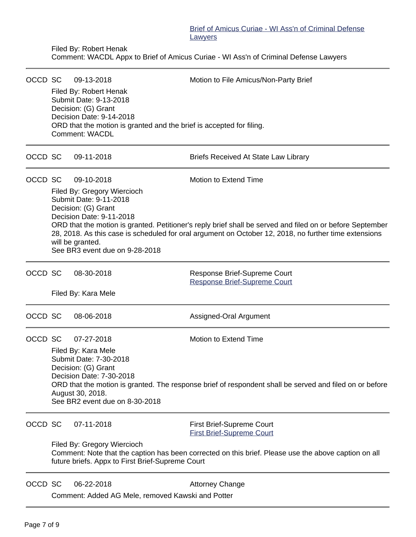Filed By: Robert Henak

Comment: WACDL Appx to Brief of Amicus Curiae - WI Ass'n of Criminal Defense Lawyers

| OCCD SC |                                                                                                                                                          | 09-13-2018                                                                                                                                                                                                         | Motion to File Amicus/Non-Party Brief                        |  |  |  |  |
|---------|----------------------------------------------------------------------------------------------------------------------------------------------------------|--------------------------------------------------------------------------------------------------------------------------------------------------------------------------------------------------------------------|--------------------------------------------------------------|--|--|--|--|
|         | Filed By: Robert Henak<br>Submit Date: 9-13-2018                                                                                                         |                                                                                                                                                                                                                    |                                                              |  |  |  |  |
|         |                                                                                                                                                          | Decision: (G) Grant<br>Decision Date: 9-14-2018                                                                                                                                                                    |                                                              |  |  |  |  |
|         | ORD that the motion is granted and the brief is accepted for filing.<br><b>Comment: WACDL</b>                                                            |                                                                                                                                                                                                                    |                                                              |  |  |  |  |
| OCCD SC |                                                                                                                                                          | 09-11-2018                                                                                                                                                                                                         | <b>Briefs Received At State Law Library</b>                  |  |  |  |  |
| OCCD SC |                                                                                                                                                          | 09-10-2018                                                                                                                                                                                                         | Motion to Extend Time                                        |  |  |  |  |
|         |                                                                                                                                                          | Filed By: Gregory Wiercioch<br>Submit Date: 9-11-2018                                                                                                                                                              |                                                              |  |  |  |  |
|         |                                                                                                                                                          | Decision: (G) Grant                                                                                                                                                                                                |                                                              |  |  |  |  |
|         |                                                                                                                                                          | Decision Date: 9-11-2018                                                                                                                                                                                           |                                                              |  |  |  |  |
|         |                                                                                                                                                          | ORD that the motion is granted. Petitioner's reply brief shall be served and filed on or before September<br>28, 2018. As this case is scheduled for oral argument on October 12, 2018, no further time extensions |                                                              |  |  |  |  |
|         |                                                                                                                                                          | will be granted.<br>See BR3 event due on 9-28-2018                                                                                                                                                                 |                                                              |  |  |  |  |
| OCCD SC |                                                                                                                                                          | 08-30-2018                                                                                                                                                                                                         | Response Brief-Supreme Court<br>Response Brief-Supreme Court |  |  |  |  |
|         |                                                                                                                                                          | Filed By: Kara Mele                                                                                                                                                                                                |                                                              |  |  |  |  |
| OCCD SC |                                                                                                                                                          | 08-06-2018                                                                                                                                                                                                         | Assigned-Oral Argument                                       |  |  |  |  |
| OCCD SC |                                                                                                                                                          | 07-27-2018                                                                                                                                                                                                         | Motion to Extend Time                                        |  |  |  |  |
|         |                                                                                                                                                          | Filed By: Kara Mele                                                                                                                                                                                                |                                                              |  |  |  |  |
|         | Submit Date: 7-30-2018<br>Decision: (G) Grant                                                                                                            |                                                                                                                                                                                                                    |                                                              |  |  |  |  |
|         | Decision Date: 7-30-2018<br>ORD that the motion is granted. The response brief of respondent shall be served and filed on or before                      |                                                                                                                                                                                                                    |                                                              |  |  |  |  |
|         | August 30, 2018.                                                                                                                                         |                                                                                                                                                                                                                    |                                                              |  |  |  |  |
|         |                                                                                                                                                          | See BR2 event due on 8-30-2018                                                                                                                                                                                     |                                                              |  |  |  |  |
| OCCD SC |                                                                                                                                                          | 07-11-2018                                                                                                                                                                                                         | <b>First Brief-Supreme Court</b>                             |  |  |  |  |
|         |                                                                                                                                                          | Filed By: Gregory Wiercioch                                                                                                                                                                                        | <b>First Brief-Supreme Court</b>                             |  |  |  |  |
|         | Comment: Note that the caption has been corrected on this brief. Please use the above caption on all<br>future briefs. Appx to First Brief-Supreme Court |                                                                                                                                                                                                                    |                                                              |  |  |  |  |
| OCCD SC |                                                                                                                                                          | 06-22-2018                                                                                                                                                                                                         | <b>Attorney Change</b>                                       |  |  |  |  |
|         |                                                                                                                                                          | Comment: Added AG Mele, removed Kawski and Potter                                                                                                                                                                  |                                                              |  |  |  |  |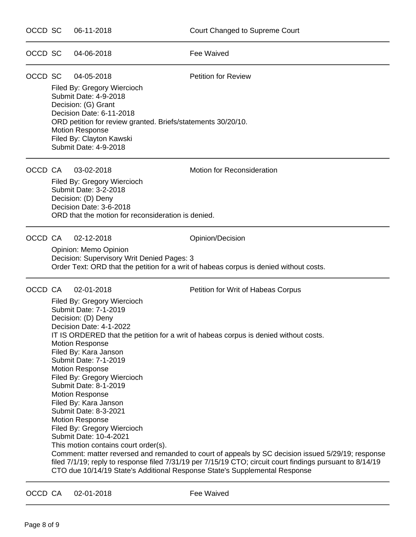| OCCD SC |                                                                                                                                                                                                                                                                                                                                                                                                                                                                                                                                                                                                                                                                                                                                                                                                                                                                                                                        | 06-11-2018                                                                                                                                                                                                                                                           | Court Changed to Supreme Court                                                                             |
|---------|------------------------------------------------------------------------------------------------------------------------------------------------------------------------------------------------------------------------------------------------------------------------------------------------------------------------------------------------------------------------------------------------------------------------------------------------------------------------------------------------------------------------------------------------------------------------------------------------------------------------------------------------------------------------------------------------------------------------------------------------------------------------------------------------------------------------------------------------------------------------------------------------------------------------|----------------------------------------------------------------------------------------------------------------------------------------------------------------------------------------------------------------------------------------------------------------------|------------------------------------------------------------------------------------------------------------|
| OCCD SC |                                                                                                                                                                                                                                                                                                                                                                                                                                                                                                                                                                                                                                                                                                                                                                                                                                                                                                                        | 04-06-2018                                                                                                                                                                                                                                                           | Fee Waived                                                                                                 |
| OCCD SC |                                                                                                                                                                                                                                                                                                                                                                                                                                                                                                                                                                                                                                                                                                                                                                                                                                                                                                                        | 04-05-2018<br>Filed By: Gregory Wiercioch<br>Submit Date: 4-9-2018<br>Decision: (G) Grant<br>Decision Date: 6-11-2018<br>ORD petition for review granted. Briefs/statements 30/20/10.<br><b>Motion Response</b><br>Filed By: Clayton Kawski<br>Submit Date: 4-9-2018 | <b>Petition for Review</b>                                                                                 |
| OCCD CA |                                                                                                                                                                                                                                                                                                                                                                                                                                                                                                                                                                                                                                                                                                                                                                                                                                                                                                                        | 03-02-2018<br>Filed By: Gregory Wiercioch<br>Submit Date: 3-2-2018<br>Decision: (D) Deny<br>Decision Date: 3-6-2018<br>ORD that the motion for reconsideration is denied.                                                                                            | Motion for Reconsideration                                                                                 |
| OCCD CA |                                                                                                                                                                                                                                                                                                                                                                                                                                                                                                                                                                                                                                                                                                                                                                                                                                                                                                                        | 02-12-2018<br>Opinion: Memo Opinion<br>Decision: Supervisory Writ Denied Pages: 3                                                                                                                                                                                    | Opinion/Decision<br>Order Text: ORD that the petition for a writ of habeas corpus is denied without costs. |
| OCCD CA | 02-01-2018<br>Petition for Writ of Habeas Corpus<br>Filed By: Gregory Wiercioch<br>Submit Date: 7-1-2019<br>Decision: (D) Deny<br>Decision Date: 4-1-2022<br>IT IS ORDERED that the petition for a writ of habeas corpus is denied without costs.<br><b>Motion Response</b><br>Filed By: Kara Janson<br>Submit Date: 7-1-2019<br><b>Motion Response</b><br>Filed By: Gregory Wiercioch<br>Submit Date: 8-1-2019<br><b>Motion Response</b><br>Filed By: Kara Janson<br>Submit Date: 8-3-2021<br><b>Motion Response</b><br>Filed By: Gregory Wiercioch<br>Submit Date: 10-4-2021<br>This motion contains court order(s).<br>Comment: matter reversed and remanded to court of appeals by SC decision issued 5/29/19; response<br>filed 7/1/19; reply to response filed 7/31/19 per 7/15/19 CTO; circuit court findings pursuant to 8/14/19<br>CTO due 10/14/19 State's Additional Response State's Supplemental Response |                                                                                                                                                                                                                                                                      |                                                                                                            |

OCCD CA 02-01-2018 Fee Waived